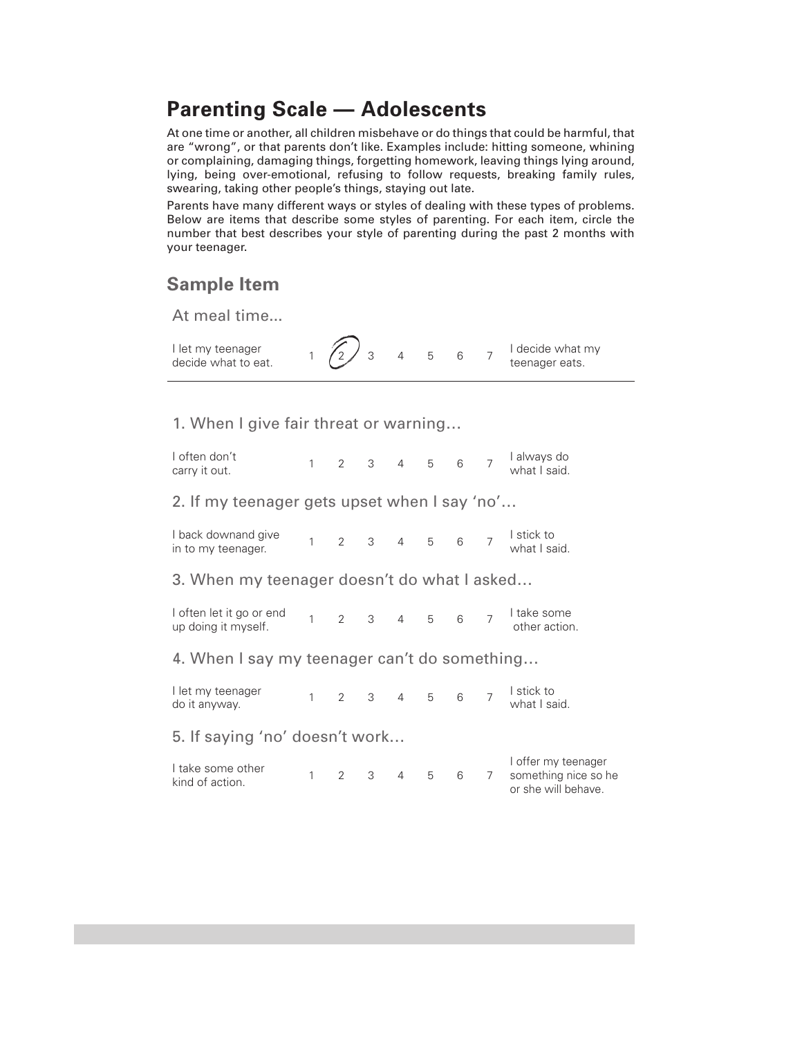## **Parenting Scale — Adolescents**

At one time or another, all children misbehave or do things that could be harmful, that are "wrong", or that parents don't like. Examples include: hitting someone, whining or complaining, damaging things, forgetting homework, leaving things lying around, lying, being over-emotional, refusing to follow requests, breaking family rules, swearing, taking other people's things, staying out late.

Parents have many different ways or styles of dealing with these types of problems. Below are items that describe some styles of parenting. For each item, circle the number that best describes your style of parenting during the past 2 months with your teenager.

## **Sample Item**

At meal time...

I let my teenager I let my teenager  $\begin{array}{cccc} 1 & 2 & 3 & 4 & 5 & 6 & 7 \end{array}$  decide what to eat. teenager eats.

1. When I give fair threat or warning…

I often don't carry it out. 1 2 3 4 5 6 7 I always do what I said.

2. If my teenager gets upset when I say 'no'…

| I back downand give<br>in to my teenager. |  |  |  |  |  |  |  | l stick to<br>what I said. |
|-------------------------------------------|--|--|--|--|--|--|--|----------------------------|
|-------------------------------------------|--|--|--|--|--|--|--|----------------------------|

3. When my teenager doesn't do what I asked…

I often let it go or end 1 often let it go or end<br>
up doing it myself.<br>
1 2 3 4 5 6 7 I take some<br>
other action other action.

4. When I say my teenager can't do something…

I let my teenager l let my teenager 1 2 3 4 5 6 7 <sup>|</sup> stick to<br>do it anyway. 1 2 3 4 5 6 7 what I sa what I said.

5. If saying 'no' doesn't work…

| l take some other<br>kind of action. |  |  |             |  | I offer my teenager    |
|--------------------------------------|--|--|-------------|--|------------------------|
|                                      |  |  | 1 2 3 4 5 6 |  | 7 something nice so he |
|                                      |  |  |             |  | or she will behave.    |